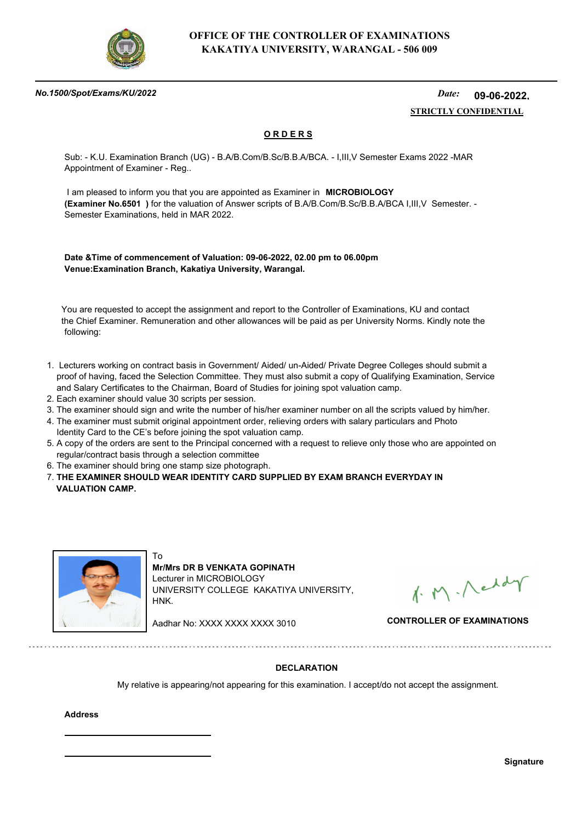

#### *No.1500/Spot/Exams/KU/2022*

#### *Date:*  **STRICTLY CONFIDENTIAL 09-06-2022,**

## **O R D E R S**

Sub: - K.U. Examination Branch (UG) - B.A/B.Com/B.Sc/B.B.A/BCA. - I,III,V Semester Exams 2022 -MAR Appointment of Examiner - Reg..

 I am pleased to inform you that you are appointed as Examiner in **MICROBIOLOGY (Examiner No.6501 )** for the valuation of Answer scripts of B.A/B.Com/B.Sc/B.B.A/BCA I,III,V Semester. - Semester Examinations, held in MAR 2022.

**Date &Time of commencement of Valuation: 09-06-2022, 02.00 pm to 06.00pm Venue:Examination Branch, Kakatiya University, Warangal.**

 You are requested to accept the assignment and report to the Controller of Examinations, KU and contact the Chief Examiner. Remuneration and other allowances will be paid as per University Norms. Kindly note the following:

- 1. Lecturers working on contract basis in Government/ Aided/ un-Aided/ Private Degree Colleges should submit a proof of having, faced the Selection Committee. They must also submit a copy of Qualifying Examination, Service and Salary Certificates to the Chairman, Board of Studies for joining spot valuation camp.
- 2. Each examiner should value 30 scripts per session.
- 3. The examiner should sign and write the number of his/her examiner number on all the scripts valued by him/her.
- 4. The examiner must submit original appointment order, relieving orders with salary particulars and Photo Identity Card to the CE's before joining the spot valuation camp.
- 5. A copy of the orders are sent to the Principal concerned with a request to relieve only those who are appointed on regular/contract basis through a selection committee
- 6. The examiner should bring one stamp size photograph.
- 7. **THE EXAMINER SHOULD WEAR IDENTITY CARD SUPPLIED BY EXAM BRANCH EVERYDAY IN VALUATION CAMP.**



To **Mr/Mrs DR B VENKATA GOPINATH** Lecturer in MICROBIOLOGY UNIVERSITY COLLEGE KAKATIYA UNIVERSITY, HNK.

1. M. Neddy

Aadhar No: XXXX XXXX XXXX 3010 **CONTROLLER OF EXAMINATIONS**

### **DECLARATION**

My relative is appearing/not appearing for this examination. I accept/do not accept the assignment.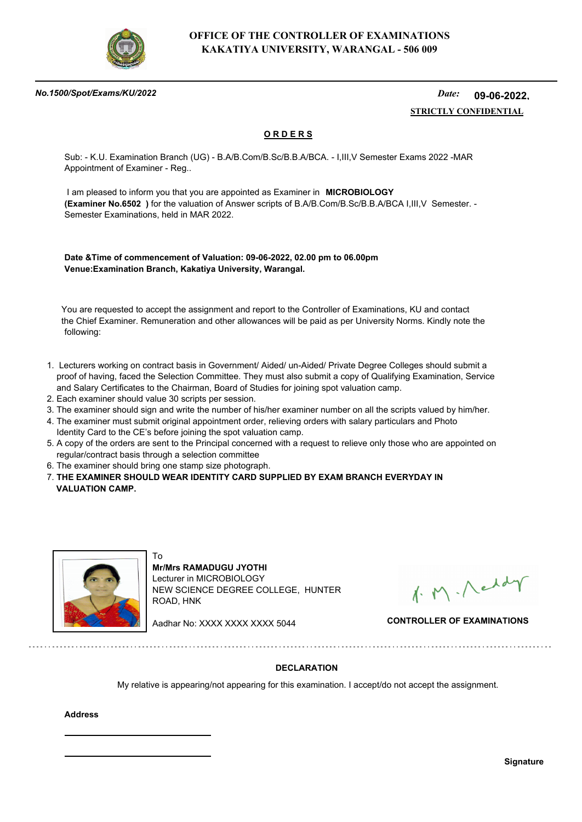

#### *No.1500/Spot/Exams/KU/2022*

#### *Date:*  **STRICTLY CONFIDENTIAL 09-06-2022,**

## **O R D E R S**

Sub: - K.U. Examination Branch (UG) - B.A/B.Com/B.Sc/B.B.A/BCA. - I,III,V Semester Exams 2022 -MAR Appointment of Examiner - Reg..

 I am pleased to inform you that you are appointed as Examiner in **MICROBIOLOGY (Examiner No.6502 )** for the valuation of Answer scripts of B.A/B.Com/B.Sc/B.B.A/BCA I,III,V Semester. - Semester Examinations, held in MAR 2022.

**Date &Time of commencement of Valuation: 09-06-2022, 02.00 pm to 06.00pm Venue:Examination Branch, Kakatiya University, Warangal.**

 You are requested to accept the assignment and report to the Controller of Examinations, KU and contact the Chief Examiner. Remuneration and other allowances will be paid as per University Norms. Kindly note the following:

- 1. Lecturers working on contract basis in Government/ Aided/ un-Aided/ Private Degree Colleges should submit a proof of having, faced the Selection Committee. They must also submit a copy of Qualifying Examination, Service and Salary Certificates to the Chairman, Board of Studies for joining spot valuation camp.
- 2. Each examiner should value 30 scripts per session.
- 3. The examiner should sign and write the number of his/her examiner number on all the scripts valued by him/her.
- 4. The examiner must submit original appointment order, relieving orders with salary particulars and Photo Identity Card to the CE's before joining the spot valuation camp.
- 5. A copy of the orders are sent to the Principal concerned with a request to relieve only those who are appointed on regular/contract basis through a selection committee
- 6. The examiner should bring one stamp size photograph.

To

7. **THE EXAMINER SHOULD WEAR IDENTITY CARD SUPPLIED BY EXAM BRANCH EVERYDAY IN VALUATION CAMP.**



**Mr/Mrs RAMADUGU JYOTHI** Lecturer in MICROBIOLOGY NEW SCIENCE DEGREE COLLEGE, HUNTER ROAD, HNK

1. M. Neddy

Aadhar No: XXXX XXXX XXXX 5044 **CONTROLLER OF EXAMINATIONS**

### **DECLARATION**

My relative is appearing/not appearing for this examination. I accept/do not accept the assignment.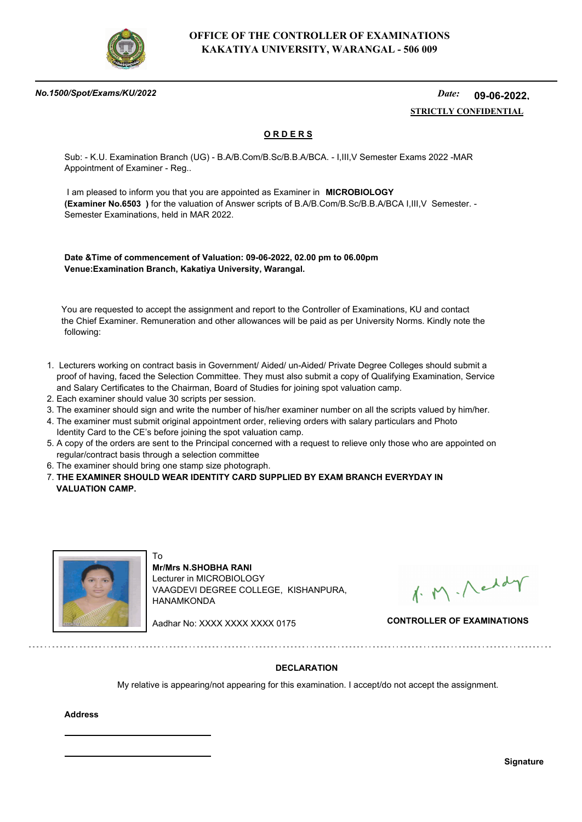

#### *No.1500/Spot/Exams/KU/2022*

#### *Date:*  **STRICTLY CONFIDENTIAL 09-06-2022,**

## **O R D E R S**

Sub: - K.U. Examination Branch (UG) - B.A/B.Com/B.Sc/B.B.A/BCA. - I,III,V Semester Exams 2022 -MAR Appointment of Examiner - Reg..

 I am pleased to inform you that you are appointed as Examiner in **MICROBIOLOGY (Examiner No.6503 )** for the valuation of Answer scripts of B.A/B.Com/B.Sc/B.B.A/BCA I,III,V Semester. - Semester Examinations, held in MAR 2022.

**Date &Time of commencement of Valuation: 09-06-2022, 02.00 pm to 06.00pm Venue:Examination Branch, Kakatiya University, Warangal.**

 You are requested to accept the assignment and report to the Controller of Examinations, KU and contact the Chief Examiner. Remuneration and other allowances will be paid as per University Norms. Kindly note the following:

- 1. Lecturers working on contract basis in Government/ Aided/ un-Aided/ Private Degree Colleges should submit a proof of having, faced the Selection Committee. They must also submit a copy of Qualifying Examination, Service and Salary Certificates to the Chairman, Board of Studies for joining spot valuation camp.
- 2. Each examiner should value 30 scripts per session.
- 3. The examiner should sign and write the number of his/her examiner number on all the scripts valued by him/her.
- 4. The examiner must submit original appointment order, relieving orders with salary particulars and Photo Identity Card to the CE's before joining the spot valuation camp.
- 5. A copy of the orders are sent to the Principal concerned with a request to relieve only those who are appointed on regular/contract basis through a selection committee
- 6. The examiner should bring one stamp size photograph.
- 7. **THE EXAMINER SHOULD WEAR IDENTITY CARD SUPPLIED BY EXAM BRANCH EVERYDAY IN VALUATION CAMP.**



To **Mr/Mrs N.SHOBHA RANI** Lecturer in MICROBIOLOGY VAAGDEVI DEGREE COLLEGE, KISHANPURA, HANAMKONDA

1. M. Neddy

Aadhar No: XXXX XXXX XXXX 0175 **CONTROLLER OF EXAMINATIONS**

### **DECLARATION**

My relative is appearing/not appearing for this examination. I accept/do not accept the assignment.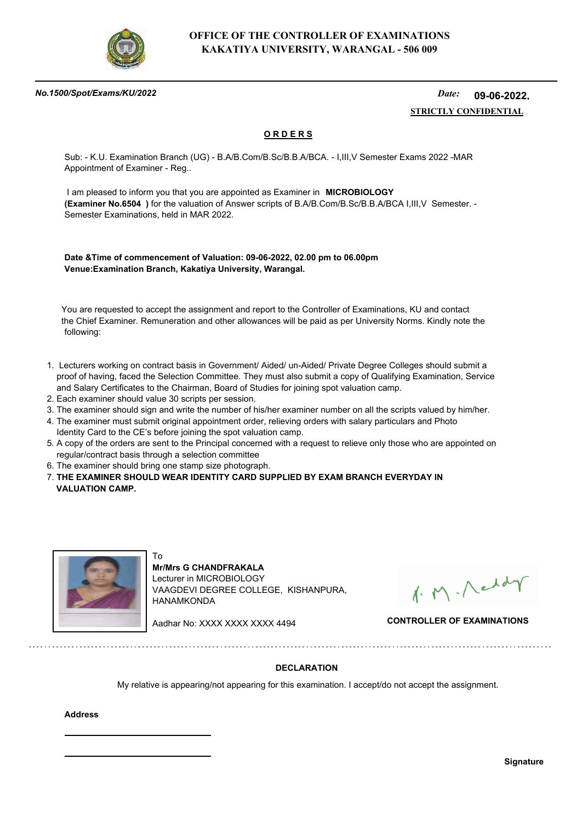

#### *No.1500/Spot/Exams/KU/2022*

#### *Date:*  **STRICTLY CONFIDENTIAL 09-06-2022,**

## **O R D E R S**

Sub: - K.U. Examination Branch (UG) - B.A/B.Com/B.Sc/B.B.A/BCA. - I,III,V Semester Exams 2022 -MAR Appointment of Examiner - Reg..

 I am pleased to inform you that you are appointed as Examiner in **MICROBIOLOGY (Examiner No.6504 )** for the valuation of Answer scripts of B.A/B.Com/B.Sc/B.B.A/BCA I,III,V Semester. - Semester Examinations, held in MAR 2022.

**Date &Time of commencement of Valuation: 09-06-2022, 02.00 pm to 06.00pm Venue:Examination Branch, Kakatiya University, Warangal.**

 You are requested to accept the assignment and report to the Controller of Examinations, KU and contact the Chief Examiner. Remuneration and other allowances will be paid as per University Norms. Kindly note the following:

- 1. Lecturers working on contract basis in Government/ Aided/ un-Aided/ Private Degree Colleges should submit a proof of having, faced the Selection Committee. They must also submit a copy of Qualifying Examination, Service and Salary Certificates to the Chairman, Board of Studies for joining spot valuation camp.
- 2. Each examiner should value 30 scripts per session.
- 3. The examiner should sign and write the number of his/her examiner number on all the scripts valued by him/her.
- 4. The examiner must submit original appointment order, relieving orders with salary particulars and Photo Identity Card to the CE's before joining the spot valuation camp.
- 5. A copy of the orders are sent to the Principal concerned with a request to relieve only those who are appointed on regular/contract basis through a selection committee
- 6. The examiner should bring one stamp size photograph.
- 7. **THE EXAMINER SHOULD WEAR IDENTITY CARD SUPPLIED BY EXAM BRANCH EVERYDAY IN VALUATION CAMP.**



To **Mr/Mrs G CHANDFRAKALA** Lecturer in MICROBIOLOGY VAAGDEVI DEGREE COLLEGE, KISHANPURA, HANAMKONDA

1. M. Neddy

Aadhar No: XXXX XXXX XXXX 4494 **CONTROLLER OF EXAMINATIONS**

### **DECLARATION**

My relative is appearing/not appearing for this examination. I accept/do not accept the assignment.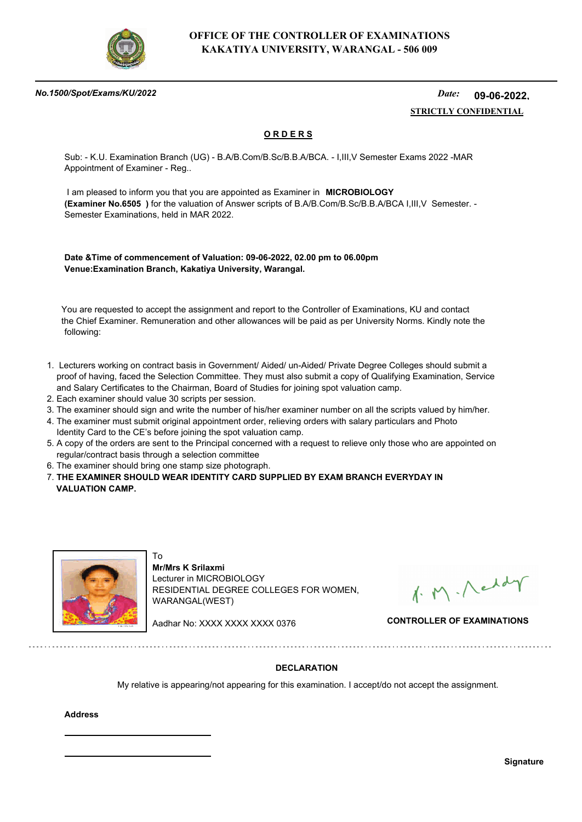

#### *No.1500/Spot/Exams/KU/2022*

#### *Date:*  **STRICTLY CONFIDENTIAL 09-06-2022,**

## **O R D E R S**

Sub: - K.U. Examination Branch (UG) - B.A/B.Com/B.Sc/B.B.A/BCA. - I,III,V Semester Exams 2022 -MAR Appointment of Examiner - Reg..

 I am pleased to inform you that you are appointed as Examiner in **MICROBIOLOGY (Examiner No.6505 )** for the valuation of Answer scripts of B.A/B.Com/B.Sc/B.B.A/BCA I,III,V Semester. - Semester Examinations, held in MAR 2022.

**Date &Time of commencement of Valuation: 09-06-2022, 02.00 pm to 06.00pm Venue:Examination Branch, Kakatiya University, Warangal.**

 You are requested to accept the assignment and report to the Controller of Examinations, KU and contact the Chief Examiner. Remuneration and other allowances will be paid as per University Norms. Kindly note the following:

- 1. Lecturers working on contract basis in Government/ Aided/ un-Aided/ Private Degree Colleges should submit a proof of having, faced the Selection Committee. They must also submit a copy of Qualifying Examination, Service and Salary Certificates to the Chairman, Board of Studies for joining spot valuation camp.
- 2. Each examiner should value 30 scripts per session.
- 3. The examiner should sign and write the number of his/her examiner number on all the scripts valued by him/her.
- 4. The examiner must submit original appointment order, relieving orders with salary particulars and Photo Identity Card to the CE's before joining the spot valuation camp.
- 5. A copy of the orders are sent to the Principal concerned with a request to relieve only those who are appointed on regular/contract basis through a selection committee
- 6. The examiner should bring one stamp size photograph.

To

7. **THE EXAMINER SHOULD WEAR IDENTITY CARD SUPPLIED BY EXAM BRANCH EVERYDAY IN VALUATION CAMP.**



**Mr/Mrs K Srilaxmi** Lecturer in MICROBIOLOGY RESIDENTIAL DEGREE COLLEGES FOR WOMEN, WARANGAL(WEST)

1. M. Neddy

Aadhar No: XXXX XXXX XXXX 0376 **CONTROLLER OF EXAMINATIONS**

### **DECLARATION**

My relative is appearing/not appearing for this examination. I accept/do not accept the assignment.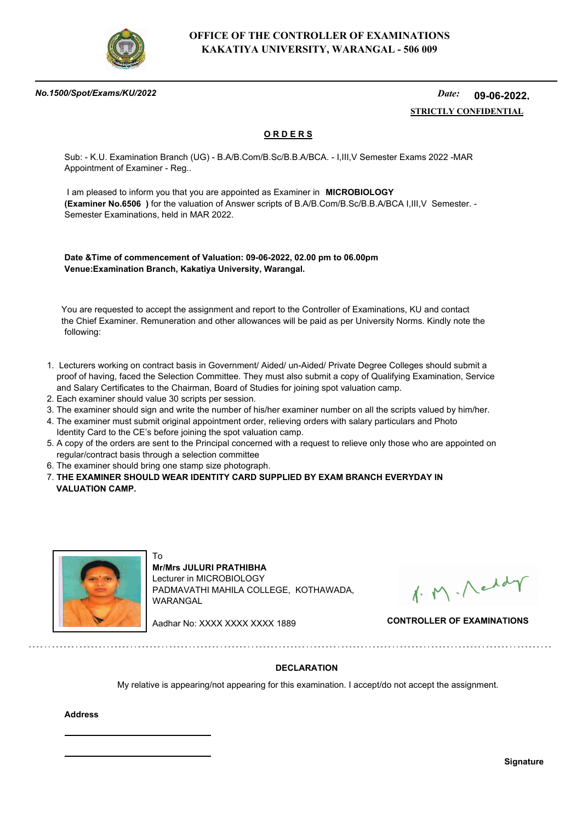

#### *No.1500/Spot/Exams/KU/2022*

#### *Date:*  **STRICTLY CONFIDENTIAL 09-06-2022,**

## **O R D E R S**

Sub: - K.U. Examination Branch (UG) - B.A/B.Com/B.Sc/B.B.A/BCA. - I,III,V Semester Exams 2022 -MAR Appointment of Examiner - Reg..

 I am pleased to inform you that you are appointed as Examiner in **MICROBIOLOGY (Examiner No.6506 )** for the valuation of Answer scripts of B.A/B.Com/B.Sc/B.B.A/BCA I,III,V Semester. - Semester Examinations, held in MAR 2022.

**Date &Time of commencement of Valuation: 09-06-2022, 02.00 pm to 06.00pm Venue:Examination Branch, Kakatiya University, Warangal.**

 You are requested to accept the assignment and report to the Controller of Examinations, KU and contact the Chief Examiner. Remuneration and other allowances will be paid as per University Norms. Kindly note the following:

- 1. Lecturers working on contract basis in Government/ Aided/ un-Aided/ Private Degree Colleges should submit a proof of having, faced the Selection Committee. They must also submit a copy of Qualifying Examination, Service and Salary Certificates to the Chairman, Board of Studies for joining spot valuation camp.
- 2. Each examiner should value 30 scripts per session.
- 3. The examiner should sign and write the number of his/her examiner number on all the scripts valued by him/her.
- 4. The examiner must submit original appointment order, relieving orders with salary particulars and Photo Identity Card to the CE's before joining the spot valuation camp.
- 5. A copy of the orders are sent to the Principal concerned with a request to relieve only those who are appointed on regular/contract basis through a selection committee
- 6. The examiner should bring one stamp size photograph.

To

7. **THE EXAMINER SHOULD WEAR IDENTITY CARD SUPPLIED BY EXAM BRANCH EVERYDAY IN VALUATION CAMP.**



**Mr/Mrs JULURI PRATHIBHA** Lecturer in MICROBIOLOGY PADMAVATHI MAHILA COLLEGE, KOTHAWADA, WARANGAL

1. M. Neddy

Aadhar No: XXXX XXXX XXXX 1889 **CONTROLLER OF EXAMINATIONS**

### **DECLARATION**

My relative is appearing/not appearing for this examination. I accept/do not accept the assignment.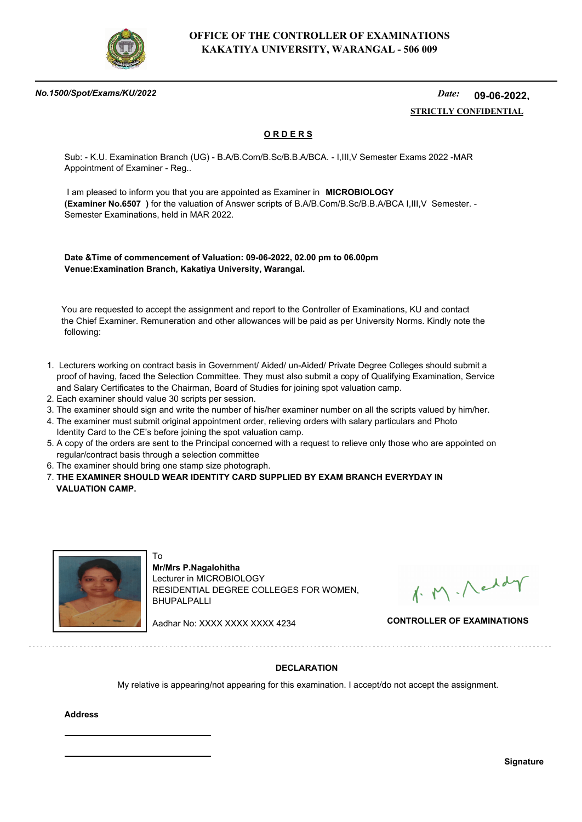

#### *No.1500/Spot/Exams/KU/2022*

#### *Date:*  **STRICTLY CONFIDENTIAL 09-06-2022,**

## **O R D E R S**

Sub: - K.U. Examination Branch (UG) - B.A/B.Com/B.Sc/B.B.A/BCA. - I,III,V Semester Exams 2022 -MAR Appointment of Examiner - Reg..

 I am pleased to inform you that you are appointed as Examiner in **MICROBIOLOGY (Examiner No.6507 )** for the valuation of Answer scripts of B.A/B.Com/B.Sc/B.B.A/BCA I,III,V Semester. - Semester Examinations, held in MAR 2022.

**Date &Time of commencement of Valuation: 09-06-2022, 02.00 pm to 06.00pm Venue:Examination Branch, Kakatiya University, Warangal.**

 You are requested to accept the assignment and report to the Controller of Examinations, KU and contact the Chief Examiner. Remuneration and other allowances will be paid as per University Norms. Kindly note the following:

- 1. Lecturers working on contract basis in Government/ Aided/ un-Aided/ Private Degree Colleges should submit a proof of having, faced the Selection Committee. They must also submit a copy of Qualifying Examination, Service and Salary Certificates to the Chairman, Board of Studies for joining spot valuation camp.
- 2. Each examiner should value 30 scripts per session.
- 3. The examiner should sign and write the number of his/her examiner number on all the scripts valued by him/her.
- 4. The examiner must submit original appointment order, relieving orders with salary particulars and Photo Identity Card to the CE's before joining the spot valuation camp.
- 5. A copy of the orders are sent to the Principal concerned with a request to relieve only those who are appointed on regular/contract basis through a selection committee
- 6. The examiner should bring one stamp size photograph.

To

7. **THE EXAMINER SHOULD WEAR IDENTITY CARD SUPPLIED BY EXAM BRANCH EVERYDAY IN VALUATION CAMP.**



**Mr/Mrs P.Nagalohitha** Lecturer in MICROBIOLOGY RESIDENTIAL DEGREE COLLEGES FOR WOMEN, BHUPALPALLI

1. M. Neddy

Aadhar No: XXXX XXXX XXXX 4234 **CONTROLLER OF EXAMINATIONS**

### **DECLARATION**

My relative is appearing/not appearing for this examination. I accept/do not accept the assignment.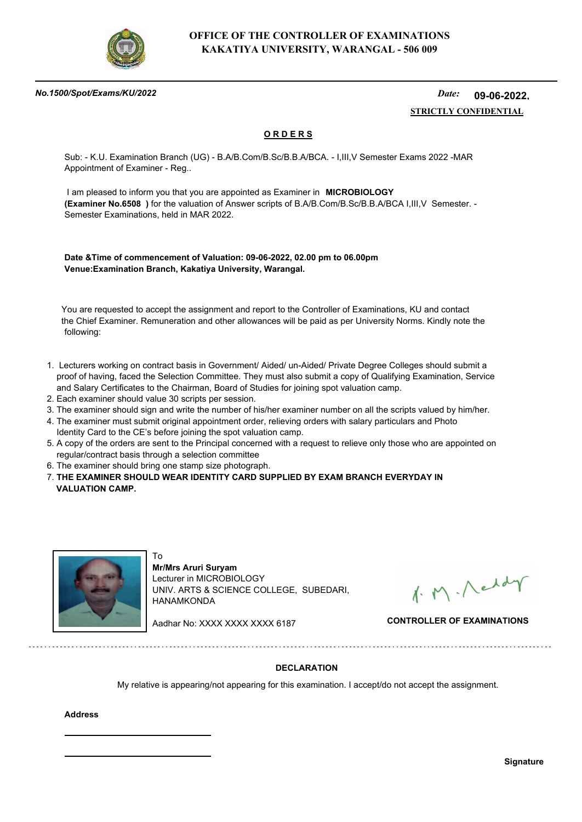

#### *No.1500/Spot/Exams/KU/2022*

#### *Date:*  **STRICTLY CONFIDENTIAL 09-06-2022,**

## **O R D E R S**

Sub: - K.U. Examination Branch (UG) - B.A/B.Com/B.Sc/B.B.A/BCA. - I,III,V Semester Exams 2022 -MAR Appointment of Examiner - Reg..

 I am pleased to inform you that you are appointed as Examiner in **MICROBIOLOGY (Examiner No.6508 )** for the valuation of Answer scripts of B.A/B.Com/B.Sc/B.B.A/BCA I,III,V Semester. - Semester Examinations, held in MAR 2022.

**Date &Time of commencement of Valuation: 09-06-2022, 02.00 pm to 06.00pm Venue:Examination Branch, Kakatiya University, Warangal.**

 You are requested to accept the assignment and report to the Controller of Examinations, KU and contact the Chief Examiner. Remuneration and other allowances will be paid as per University Norms. Kindly note the following:

- 1. Lecturers working on contract basis in Government/ Aided/ un-Aided/ Private Degree Colleges should submit a proof of having, faced the Selection Committee. They must also submit a copy of Qualifying Examination, Service and Salary Certificates to the Chairman, Board of Studies for joining spot valuation camp.
- 2. Each examiner should value 30 scripts per session.
- 3. The examiner should sign and write the number of his/her examiner number on all the scripts valued by him/her.
- 4. The examiner must submit original appointment order, relieving orders with salary particulars and Photo Identity Card to the CE's before joining the spot valuation camp.
- 5. A copy of the orders are sent to the Principal concerned with a request to relieve only those who are appointed on regular/contract basis through a selection committee
- 6. The examiner should bring one stamp size photograph.

To

7. **THE EXAMINER SHOULD WEAR IDENTITY CARD SUPPLIED BY EXAM BRANCH EVERYDAY IN VALUATION CAMP.**



**Mr/Mrs Aruri Suryam** Lecturer in MICROBIOLOGY UNIV. ARTS & SCIENCE COLLEGE, SUBEDARI, HANAMKONDA

1. M. Neddy

Aadhar No: XXXX XXXX XXXX 6187 **CONTROLLER OF EXAMINATIONS**

### **DECLARATION**

My relative is appearing/not appearing for this examination. I accept/do not accept the assignment.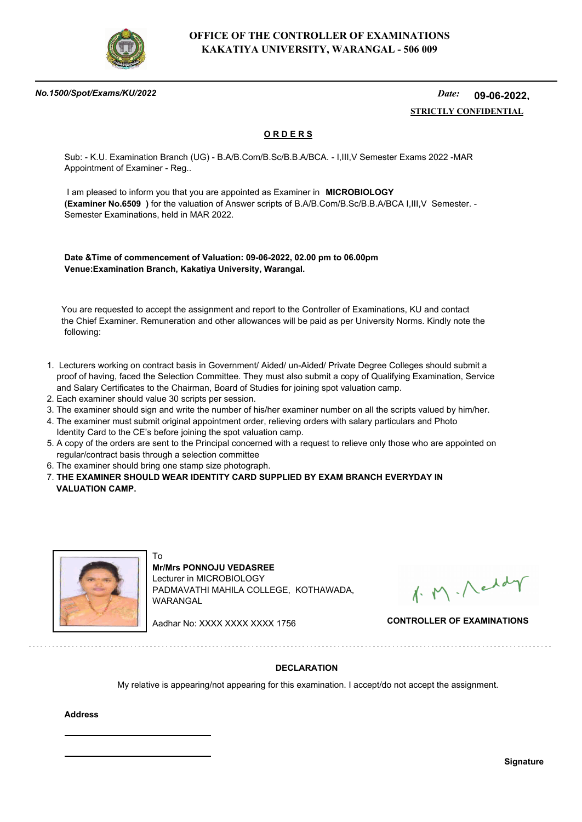

#### *No.1500/Spot/Exams/KU/2022*

#### *Date:*  **STRICTLY CONFIDENTIAL 09-06-2022,**

## **O R D E R S**

Sub: - K.U. Examination Branch (UG) - B.A/B.Com/B.Sc/B.B.A/BCA. - I,III,V Semester Exams 2022 -MAR Appointment of Examiner - Reg..

 I am pleased to inform you that you are appointed as Examiner in **MICROBIOLOGY (Examiner No.6509 )** for the valuation of Answer scripts of B.A/B.Com/B.Sc/B.B.A/BCA I,III,V Semester. - Semester Examinations, held in MAR 2022.

**Date &Time of commencement of Valuation: 09-06-2022, 02.00 pm to 06.00pm Venue:Examination Branch, Kakatiya University, Warangal.**

 You are requested to accept the assignment and report to the Controller of Examinations, KU and contact the Chief Examiner. Remuneration and other allowances will be paid as per University Norms. Kindly note the following:

- 1. Lecturers working on contract basis in Government/ Aided/ un-Aided/ Private Degree Colleges should submit a proof of having, faced the Selection Committee. They must also submit a copy of Qualifying Examination, Service and Salary Certificates to the Chairman, Board of Studies for joining spot valuation camp.
- 2. Each examiner should value 30 scripts per session.
- 3. The examiner should sign and write the number of his/her examiner number on all the scripts valued by him/her.
- 4. The examiner must submit original appointment order, relieving orders with salary particulars and Photo Identity Card to the CE's before joining the spot valuation camp.
- 5. A copy of the orders are sent to the Principal concerned with a request to relieve only those who are appointed on regular/contract basis through a selection committee
- 6. The examiner should bring one stamp size photograph.

To

7. **THE EXAMINER SHOULD WEAR IDENTITY CARD SUPPLIED BY EXAM BRANCH EVERYDAY IN VALUATION CAMP.**



**Mr/Mrs PONNOJU VEDASREE** Lecturer in MICROBIOLOGY PADMAVATHI MAHILA COLLEGE, KOTHAWADA, WARANGAL

1. M. Neddy

Aadhar No: XXXX XXXX XXXX 1756 **CONTROLLER OF EXAMINATIONS**

### **DECLARATION**

My relative is appearing/not appearing for this examination. I accept/do not accept the assignment.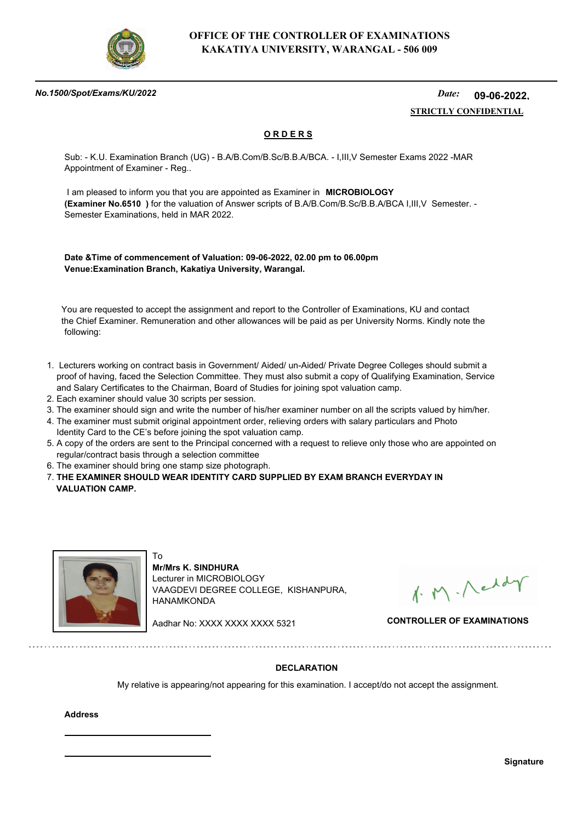

#### *No.1500/Spot/Exams/KU/2022*

#### *Date:*  **STRICTLY CONFIDENTIAL 09-06-2022,**

## **O R D E R S**

Sub: - K.U. Examination Branch (UG) - B.A/B.Com/B.Sc/B.B.A/BCA. - I,III,V Semester Exams 2022 -MAR Appointment of Examiner - Reg..

 I am pleased to inform you that you are appointed as Examiner in **MICROBIOLOGY (Examiner No.6510 )** for the valuation of Answer scripts of B.A/B.Com/B.Sc/B.B.A/BCA I,III,V Semester. - Semester Examinations, held in MAR 2022.

**Date &Time of commencement of Valuation: 09-06-2022, 02.00 pm to 06.00pm Venue:Examination Branch, Kakatiya University, Warangal.**

 You are requested to accept the assignment and report to the Controller of Examinations, KU and contact the Chief Examiner. Remuneration and other allowances will be paid as per University Norms. Kindly note the following:

- 1. Lecturers working on contract basis in Government/ Aided/ un-Aided/ Private Degree Colleges should submit a proof of having, faced the Selection Committee. They must also submit a copy of Qualifying Examination, Service and Salary Certificates to the Chairman, Board of Studies for joining spot valuation camp.
- 2. Each examiner should value 30 scripts per session.
- 3. The examiner should sign and write the number of his/her examiner number on all the scripts valued by him/her.
- 4. The examiner must submit original appointment order, relieving orders with salary particulars and Photo Identity Card to the CE's before joining the spot valuation camp.
- 5. A copy of the orders are sent to the Principal concerned with a request to relieve only those who are appointed on regular/contract basis through a selection committee
- 6. The examiner should bring one stamp size photograph.

To

7. **THE EXAMINER SHOULD WEAR IDENTITY CARD SUPPLIED BY EXAM BRANCH EVERYDAY IN VALUATION CAMP.**



**Mr/Mrs K. SINDHURA** Lecturer in MICROBIOLOGY VAAGDEVI DEGREE COLLEGE, KISHANPURA, HANAMKONDA

1. M. Neddy

Aadhar No: XXXX XXXX XXXX 5321 **CONTROLLER OF EXAMINATIONS**

### **DECLARATION**

My relative is appearing/not appearing for this examination. I accept/do not accept the assignment.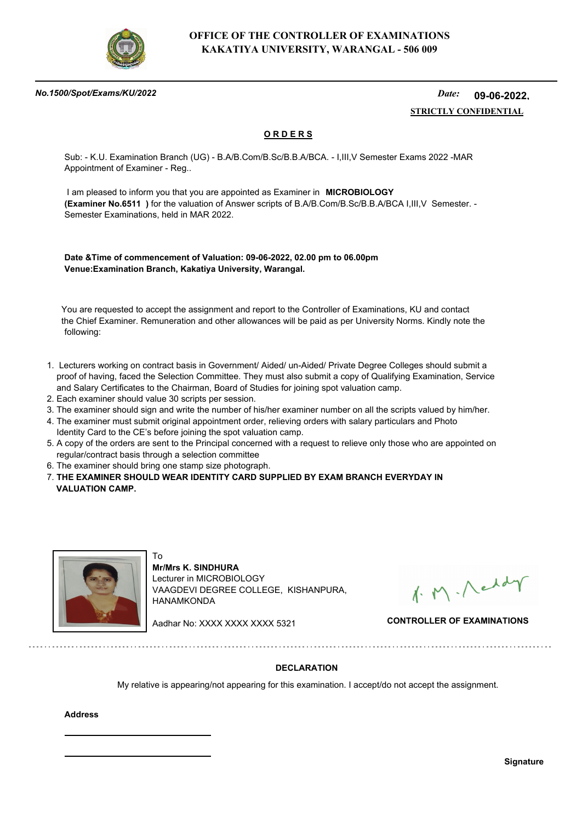

#### *No.1500/Spot/Exams/KU/2022*

#### *Date:*  **STRICTLY CONFIDENTIAL 09-06-2022,**

## **O R D E R S**

Sub: - K.U. Examination Branch (UG) - B.A/B.Com/B.Sc/B.B.A/BCA. - I,III,V Semester Exams 2022 -MAR Appointment of Examiner - Reg..

 I am pleased to inform you that you are appointed as Examiner in **MICROBIOLOGY (Examiner No.6511 )** for the valuation of Answer scripts of B.A/B.Com/B.Sc/B.B.A/BCA I,III,V Semester. - Semester Examinations, held in MAR 2022.

**Date &Time of commencement of Valuation: 09-06-2022, 02.00 pm to 06.00pm Venue:Examination Branch, Kakatiya University, Warangal.**

 You are requested to accept the assignment and report to the Controller of Examinations, KU and contact the Chief Examiner. Remuneration and other allowances will be paid as per University Norms. Kindly note the following:

- 1. Lecturers working on contract basis in Government/ Aided/ un-Aided/ Private Degree Colleges should submit a proof of having, faced the Selection Committee. They must also submit a copy of Qualifying Examination, Service and Salary Certificates to the Chairman, Board of Studies for joining spot valuation camp.
- 2. Each examiner should value 30 scripts per session.
- 3. The examiner should sign and write the number of his/her examiner number on all the scripts valued by him/her.
- 4. The examiner must submit original appointment order, relieving orders with salary particulars and Photo Identity Card to the CE's before joining the spot valuation camp.
- 5. A copy of the orders are sent to the Principal concerned with a request to relieve only those who are appointed on regular/contract basis through a selection committee
- 6. The examiner should bring one stamp size photograph.

To

7. **THE EXAMINER SHOULD WEAR IDENTITY CARD SUPPLIED BY EXAM BRANCH EVERYDAY IN VALUATION CAMP.**



**Mr/Mrs K. SINDHURA** Lecturer in MICROBIOLOGY VAAGDEVI DEGREE COLLEGE, KISHANPURA, HANAMKONDA

1. M. Neddy

Aadhar No: XXXX XXXX XXXX 5321 **CONTROLLER OF EXAMINATIONS**

### **DECLARATION**

My relative is appearing/not appearing for this examination. I accept/do not accept the assignment.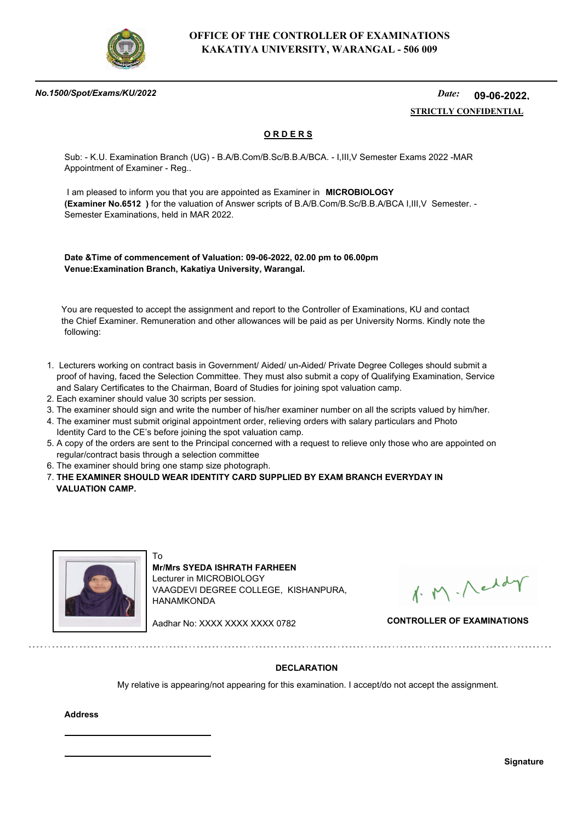

#### *No.1500/Spot/Exams/KU/2022*

#### *Date:*  **STRICTLY CONFIDENTIAL 09-06-2022,**

## **O R D E R S**

Sub: - K.U. Examination Branch (UG) - B.A/B.Com/B.Sc/B.B.A/BCA. - I,III,V Semester Exams 2022 -MAR Appointment of Examiner - Reg..

 I am pleased to inform you that you are appointed as Examiner in **MICROBIOLOGY (Examiner No.6512 )** for the valuation of Answer scripts of B.A/B.Com/B.Sc/B.B.A/BCA I,III,V Semester. - Semester Examinations, held in MAR 2022.

**Date &Time of commencement of Valuation: 09-06-2022, 02.00 pm to 06.00pm Venue:Examination Branch, Kakatiya University, Warangal.**

 You are requested to accept the assignment and report to the Controller of Examinations, KU and contact the Chief Examiner. Remuneration and other allowances will be paid as per University Norms. Kindly note the following:

- 1. Lecturers working on contract basis in Government/ Aided/ un-Aided/ Private Degree Colleges should submit a proof of having, faced the Selection Committee. They must also submit a copy of Qualifying Examination, Service and Salary Certificates to the Chairman, Board of Studies for joining spot valuation camp.
- 2. Each examiner should value 30 scripts per session.
- 3. The examiner should sign and write the number of his/her examiner number on all the scripts valued by him/her.
- 4. The examiner must submit original appointment order, relieving orders with salary particulars and Photo Identity Card to the CE's before joining the spot valuation camp.
- 5. A copy of the orders are sent to the Principal concerned with a request to relieve only those who are appointed on regular/contract basis through a selection committee
- 6. The examiner should bring one stamp size photograph.

To

7. **THE EXAMINER SHOULD WEAR IDENTITY CARD SUPPLIED BY EXAM BRANCH EVERYDAY IN VALUATION CAMP.**



**Mr/Mrs SYEDA ISHRATH FARHEEN** Lecturer in MICROBIOLOGY VAAGDEVI DEGREE COLLEGE, KISHANPURA, HANAMKONDA

1. M. Neddy

Aadhar No: XXXX XXXX XXXX 0782 **CONTROLLER OF EXAMINATIONS**

### **DECLARATION**

My relative is appearing/not appearing for this examination. I accept/do not accept the assignment.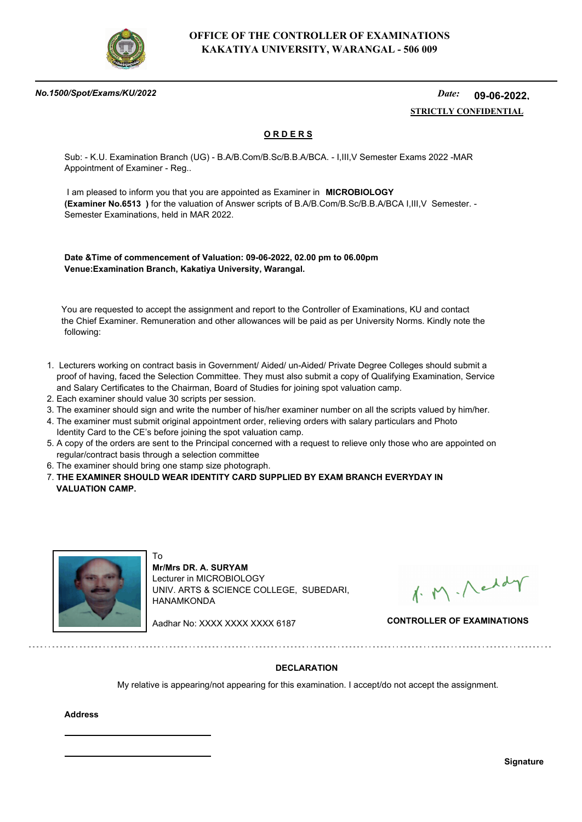

#### *No.1500/Spot/Exams/KU/2022*

#### *Date:*  **STRICTLY CONFIDENTIAL 09-06-2022,**

## **O R D E R S**

Sub: - K.U. Examination Branch (UG) - B.A/B.Com/B.Sc/B.B.A/BCA. - I,III,V Semester Exams 2022 -MAR Appointment of Examiner - Reg..

 I am pleased to inform you that you are appointed as Examiner in **MICROBIOLOGY (Examiner No.6513 )** for the valuation of Answer scripts of B.A/B.Com/B.Sc/B.B.A/BCA I,III,V Semester. - Semester Examinations, held in MAR 2022.

**Date &Time of commencement of Valuation: 09-06-2022, 02.00 pm to 06.00pm Venue:Examination Branch, Kakatiya University, Warangal.**

 You are requested to accept the assignment and report to the Controller of Examinations, KU and contact the Chief Examiner. Remuneration and other allowances will be paid as per University Norms. Kindly note the following:

- 1. Lecturers working on contract basis in Government/ Aided/ un-Aided/ Private Degree Colleges should submit a proof of having, faced the Selection Committee. They must also submit a copy of Qualifying Examination, Service and Salary Certificates to the Chairman, Board of Studies for joining spot valuation camp.
- 2. Each examiner should value 30 scripts per session.
- 3. The examiner should sign and write the number of his/her examiner number on all the scripts valued by him/her.
- 4. The examiner must submit original appointment order, relieving orders with salary particulars and Photo Identity Card to the CE's before joining the spot valuation camp.
- 5. A copy of the orders are sent to the Principal concerned with a request to relieve only those who are appointed on regular/contract basis through a selection committee
- 6. The examiner should bring one stamp size photograph.

To

7. **THE EXAMINER SHOULD WEAR IDENTITY CARD SUPPLIED BY EXAM BRANCH EVERYDAY IN VALUATION CAMP.**



**Mr/Mrs DR. A. SURYAM** Lecturer in MICROBIOLOGY UNIV. ARTS & SCIENCE COLLEGE, SUBEDARI, HANAMKONDA

1. M. Neddy

Aadhar No: XXXX XXXX XXXX 6187 **CONTROLLER OF EXAMINATIONS**

### **DECLARATION**

My relative is appearing/not appearing for this examination. I accept/do not accept the assignment.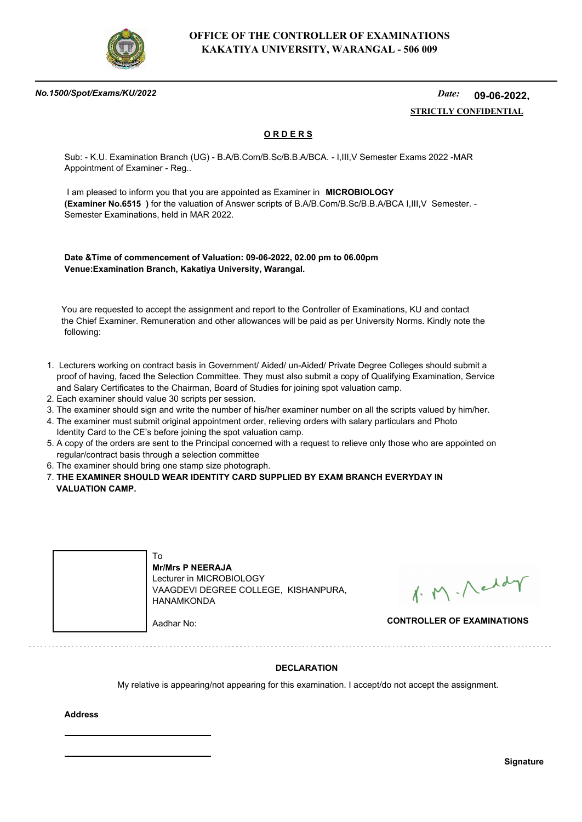

#### *No.1500/Spot/Exams/KU/2022*

#### *Date:*  **STRICTLY CONFIDENTIAL 09-06-2022,**

## **O R D E R S**

Sub: - K.U. Examination Branch (UG) - B.A/B.Com/B.Sc/B.B.A/BCA. - I,III,V Semester Exams 2022 -MAR Appointment of Examiner - Reg..

 I am pleased to inform you that you are appointed as Examiner in **MICROBIOLOGY (Examiner No.6515 )** for the valuation of Answer scripts of B.A/B.Com/B.Sc/B.B.A/BCA I,III,V Semester. - Semester Examinations, held in MAR 2022.

**Date &Time of commencement of Valuation: 09-06-2022, 02.00 pm to 06.00pm Venue:Examination Branch, Kakatiya University, Warangal.**

 You are requested to accept the assignment and report to the Controller of Examinations, KU and contact the Chief Examiner. Remuneration and other allowances will be paid as per University Norms. Kindly note the following:

- 1. Lecturers working on contract basis in Government/ Aided/ un-Aided/ Private Degree Colleges should submit a proof of having, faced the Selection Committee. They must also submit a copy of Qualifying Examination, Service and Salary Certificates to the Chairman, Board of Studies for joining spot valuation camp.
- 2. Each examiner should value 30 scripts per session.
- 3. The examiner should sign and write the number of his/her examiner number on all the scripts valued by him/her.
- 4. The examiner must submit original appointment order, relieving orders with salary particulars and Photo Identity Card to the CE's before joining the spot valuation camp.
- 5. A copy of the orders are sent to the Principal concerned with a request to relieve only those who are appointed on regular/contract basis through a selection committee
- 6. The examiner should bring one stamp size photograph.
- 7. **THE EXAMINER SHOULD WEAR IDENTITY CARD SUPPLIED BY EXAM BRANCH EVERYDAY IN VALUATION CAMP.**

| To<br><b>Mr/Mrs P NEERAJA</b><br>Lecturer in MICROBIOLOGY<br>VAAGDEVI DEGREE COLLEGE, KISHANPURA,<br>HANAMKONDA |                                   |
|-----------------------------------------------------------------------------------------------------------------|-----------------------------------|
| Aadhar No:                                                                                                      | <b>CONTROLLER OF EXAMINATIONS</b> |

1. M. Neddy

### **DECLARATION**

My relative is appearing/not appearing for this examination. I accept/do not accept the assignment.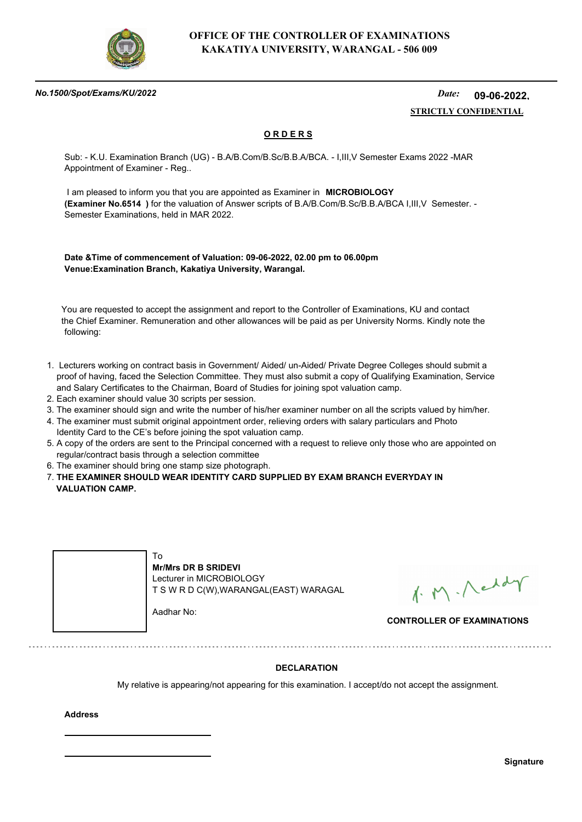

#### *No.1500/Spot/Exams/KU/2022*

#### *Date:*  **STRICTLY CONFIDENTIAL 09-06-2022,**

## **O R D E R S**

Sub: - K.U. Examination Branch (UG) - B.A/B.Com/B.Sc/B.B.A/BCA. - I,III,V Semester Exams 2022 -MAR Appointment of Examiner - Reg..

 I am pleased to inform you that you are appointed as Examiner in **MICROBIOLOGY (Examiner No.6514 )** for the valuation of Answer scripts of B.A/B.Com/B.Sc/B.B.A/BCA I,III,V Semester. - Semester Examinations, held in MAR 2022.

**Date &Time of commencement of Valuation: 09-06-2022, 02.00 pm to 06.00pm Venue:Examination Branch, Kakatiya University, Warangal.**

 You are requested to accept the assignment and report to the Controller of Examinations, KU and contact the Chief Examiner. Remuneration and other allowances will be paid as per University Norms. Kindly note the following:

- 1. Lecturers working on contract basis in Government/ Aided/ un-Aided/ Private Degree Colleges should submit a proof of having, faced the Selection Committee. They must also submit a copy of Qualifying Examination, Service and Salary Certificates to the Chairman, Board of Studies for joining spot valuation camp.
- 2. Each examiner should value 30 scripts per session.
- 3. The examiner should sign and write the number of his/her examiner number on all the scripts valued by him/her.
- 4. The examiner must submit original appointment order, relieving orders with salary particulars and Photo Identity Card to the CE's before joining the spot valuation camp.
- 5. A copy of the orders are sent to the Principal concerned with a request to relieve only those who are appointed on regular/contract basis through a selection committee
- 6. The examiner should bring one stamp size photograph.

7. **THE EXAMINER SHOULD WEAR IDENTITY CARD SUPPLIED BY EXAM BRANCH EVERYDAY IN VALUATION CAMP.**



1. M. Neddy

**CONTROLLER OF EXAMINATIONS**

### **DECLARATION**

My relative is appearing/not appearing for this examination. I accept/do not accept the assignment.